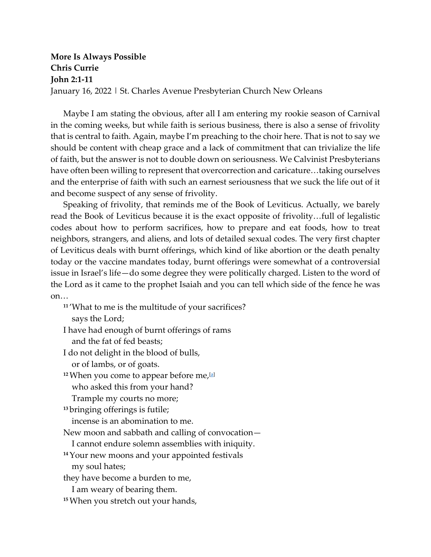## **More Is Always Possible Chris Currie John 2:1-11** January 16, 2022 | St. Charles Avenue Presbyterian Church New Orleans

Maybe I am stating the obvious, after all I am entering my rookie season of Carnival in the coming weeks, but while faith is serious business, there is also a sense of frivolity that is central to faith. Again, maybe I'm preaching to the choir here. That is not to say we should be content with cheap grace and a lack of commitment that can trivialize the life of faith, but the answer is not to double down on seriousness. We Calvinist Presbyterians have often been willing to represent that overcorrection and caricature…taking ourselves and the enterprise of faith with such an earnest seriousness that we suck the life out of it and become suspect of any sense of frivolity.

Speaking of frivolity, that reminds me of the Book of Leviticus. Actually, we barely read the Book of Leviticus because it is the exact opposite of frivolity…full of legalistic codes about how to perform sacrifices, how to prepare and eat foods, how to treat neighbors, strangers, and aliens, and lots of detailed sexual codes. The very first chapter of Leviticus deals with burnt offerings, which kind of like abortion or the death penalty today or the vaccine mandates today, burnt offerings were somewhat of a controversial issue in Israel's life—do some degree they were politically charged. Listen to the word of the Lord as it came to the prophet Isaiah and you can tell which side of the fence he was on…

**<sup>11</sup>** 'What to me is the multitude of your sacrifices? says the Lord;

I have had enough of burnt offerings of rams and the fat of fed beasts;

I do not delight in the blood of bulls,

or of lambs, or of goats.

**<sup>12</sup>**When you come to appear before me[,\[a\]](https://www.biblegateway.com/passage/?search=Isaiah%201%3A11-17&version=NRSV#fen-NRSV-17667a) who asked this from your hand?

Trample my courts no more;

**<sup>13</sup>** bringing offerings is futile;

incense is an abomination to me.

New moon and sabbath and calling of convocation—

I cannot endure solemn assemblies with iniquity.

**<sup>14</sup>**Your new moons and your appointed festivals

my soul hates;

they have become a burden to me,

I am weary of bearing them.

**15**When you stretch out your hands,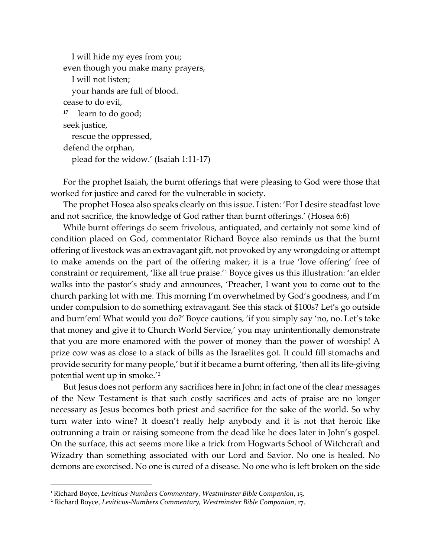```
 I will hide my eyes from you;
even though you make many prayers,
   I will not listen;
   your hands are full of blood.
cease to do evil,
  17 learn to do good;
seek justice,
   rescue the oppressed,
defend the orphan,
   plead for the widow.' (Isaiah 1:11-17)
```
For the prophet Isaiah, the burnt offerings that were pleasing to God were those that worked for justice and cared for the vulnerable in society.

The prophet Hosea also speaks clearly on this issue. Listen: 'For I desire steadfast love and not sacrifice, the knowledge of God rather than burnt offerings.' (Hosea 6:6)

While burnt offerings do seem frivolous, antiquated, and certainly not some kind of condition placed on God, commentator Richard Boyce also reminds us that the burnt offering of livestock was an extravagant gift, not provoked by any wrongdoing or attempt to make amends on the part of the offering maker; it is a true 'love offering' free of constraint or requirement, 'like all true praise.'[1](#page-1-0) Boyce gives us this illustration: 'an elder walks into the pastor's study and announces, 'Preacher, I want you to come out to the church parking lot with me. This morning I'm overwhelmed by God's goodness, and I'm under compulsion to do something extravagant. See this stack of \$100s? Let's go outside and burn'em! What would you do?' Boyce cautions, 'if you simply say 'no, no. Let's take that money and give it to Church World Service,' you may unintentionally demonstrate that you are more enamored with the power of money than the power of worship! A prize cow was as close to a stack of bills as the Israelites got. It could fill stomachs and provide security for many people,' but if it became a burnt offering, 'then all its life-giving potential went up in smoke.'[2](#page-1-1)

But Jesus does not perform any sacrifices here in John; in fact one of the clear messages of the New Testament is that such costly sacrifices and acts of praise are no longer necessary as Jesus becomes both priest and sacrifice for the sake of the world. So why turn water into wine? It doesn't really help anybody and it is not that heroic like outrunning a train or raising someone from the dead like he does later in John's gospel. On the surface, this act seems more like a trick from Hogwarts School of Witchcraft and Wizadry than something associated with our Lord and Savior. No one is healed. No demons are exorcised. No one is cured of a disease. No one who is left broken on the side

<span id="page-1-0"></span><sup>1</sup> Richard Boyce, *Leviticus-Numbers Commentary*, *Westminster Bible Companion*, 15. 2 Richard Boyce, *Leviticus-Numbers Commentary, Westminster Bible Companion*, 17.

<span id="page-1-1"></span>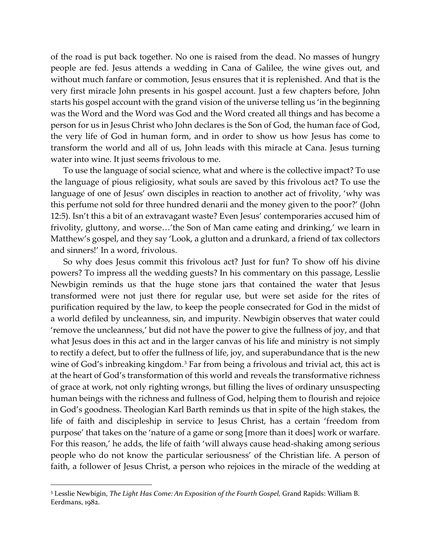of the road is put back together. No one is raised from the dead. No masses of hungry people are fed. Jesus attends a wedding in Cana of Galilee, the wine gives out, and without much fanfare or commotion, Jesus ensures that it is replenished. And that is the very first miracle John presents in his gospel account. Just a few chapters before, John starts his gospel account with the grand vision of the universe telling us 'in the beginning was the Word and the Word was God and the Word created all things and has become a person for us in Jesus Christ who John declares is the Son of God, the human face of God, the very life of God in human form, and in order to show us how Jesus has come to transform the world and all of us, John leads with this miracle at Cana. Jesus turning water into wine. It just seems frivolous to me.

To use the language of social science, what and where is the collective impact? To use the language of pious religiosity, what souls are saved by this frivolous act? To use the language of one of Jesus' own disciples in reaction to another act of frivolity, 'why was this perfume not sold for three hundred denarii and the money given to the poor?' (John 12:5). Isn't this a bit of an extravagant waste? Even Jesus' contemporaries accused him of frivolity, gluttony, and worse…'the Son of Man came eating and drinking,' we learn in Matthew's gospel, and they say 'Look, a glutton and a drunkard, a friend of tax collectors and sinners!' In a word, frivolous.

So why does Jesus commit this frivolous act? Just for fun? To show off his divine powers? To impress all the wedding guests? In his commentary on this passage, Lesslie Newbigin reminds us that the huge stone jars that contained the water that Jesus transformed were not just there for regular use, but were set aside for the rites of purification required by the law, to keep the people consecrated for God in the midst of a world defiled by uncleanness, sin, and impurity. Newbigin observes that water could 'remove the uncleanness,' but did not have the power to give the fullness of joy, and that what Jesus does in this act and in the larger canvas of his life and ministry is not simply to rectify a defect, but to offer the fullness of life, joy, and superabundance that is the new wine of God's inbreaking kingdom.<sup>[3](#page-2-0)</sup> Far from being a frivolous and trivial act, this act is at the heart of God's transformation of this world and reveals the transformative richness of grace at work, not only righting wrongs, but filling the lives of ordinary unsuspecting human beings with the richness and fullness of God, helping them to flourish and rejoice in God's goodness. Theologian Karl Barth reminds us that in spite of the high stakes, the life of faith and discipleship in service to Jesus Christ, has a certain 'freedom from purpose' that takes on the 'nature of a game or song [more than it does] work or warfare. For this reason,' he adds, the life of faith 'will always cause head-shaking among serious people who do not know the particular seriousness' of the Christian life. A person of faith, a follower of Jesus Christ, a person who rejoices in the miracle of the wedding at

<span id="page-2-0"></span><sup>3</sup> Lesslie Newbigin, *The Light Has Come: An Exposition of the Fourth Gospel,* Grand Rapids: William B. Eerdmans, 1982.